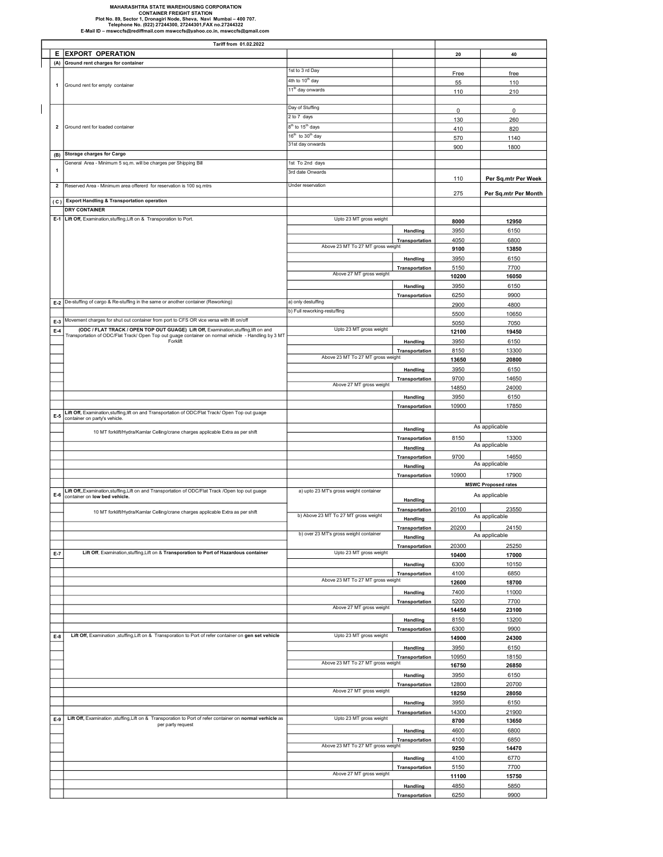## MAHARASHTRA STATE WAREHOUSING CORPORATION CONTAINER FREIGHT STATION<br>Plot No. 89, Sector 1, Dronagiri Node, Sheva, Navi Mumbai – 400 707.<br>Telephone No. (022) 27244300, 27244301,FAX no.27244322<br>E-Mail ID – mswccfs@rediffmail.com mswccfs@yahoo.co.in, mswccfs@gmail.c

 $\overline{\phantom{a}}$ 

E EXPORT OPERATION 40 (A) Ground rent charges for container 1st to 3 rd Day Free free 4th to 10<sup>th</sup> day **110** 11<sup>th</sup> day onwards 210 Day of Stuffing the Contract of Day of Stuffing the Contract of Day of Stuffing the Contract of Day of Day of Day of Day of Day of Day of Day of Day of Day of Day of Day of Day of Day of Day of Day of Day of Day of Day of 2 to 7 days <sup>130</sup> <sup>260</sup> 8<sup>th</sup> to 15<sup>th</sup> days th to 15<sup>th</sup> days 820  $16^{th}$  to  $30^{th}$  day 1140 31st day onwards **1800** 1800 (B) Storage charges for Cargo 1st To 2nd days 3rd date Onwards 110 Per Sq.mtr Per Week 2 Reserved Area - Minimum area offererd for reservation is 100 sq.mtrs Under reservation 275 Per Sq.mtr Per Month ( C ) Export Handling & Transportation operation **DRY CONTAINER** 8000 12950 Handling 3950 6150 Transportation 4050 6800 9100 13850 Handling 3950 6150 Transportation 5150 7700 10200 16050 Handling 3950 6150 Transportation 6250 9900 E-2 De-stuffing of cargo & Re-stuffing in the same or another container (Reworking) a) only destuffing and a container (Reworking and a container (Reworking and a container and a contact and a contact and a contact and a c b) Full reworking-restuffing 5500 10650 E-3 Movement charges for shut out container from port to CFS OR vice versa with lift on/off 5050 7050 7050 7050<br>E4 (ODC / FLAT TRACK / OPEN TOP OUT GUAGE) Lift Off, Examination,stuffing,lift on and the contact of the 23 MT E-4 12100 ISLAT TRACK / OPEN TOP OUT GUAGE) Lift Off, Examination,stuffing,lift on and the Upto 23 MT gross weight 12100 19450 12100 19450 Handling 3950 6150 Transportation 8150 13300 13650 20800 Handling 3950 6150 Transportation 9700 14650 14850 24000 Handling 3950 6150 Transportation 10900 17850 E-5 Lift Off, Examination,stuffing,lift on and Transportation of ODC/Flat Track/ Open Top out guage r on party's vehicle Handling Transportation 8150 13300 Handling Transportation 9700 14650 Handling Transportation 10900 17900 E-6 Lift Off,,Examination,stuffing,Lift on and Transportation of ODC/Flat Track /Open top out guage and a bupto 23 MT's gross weight container and the buptor of the container and the Handling<br>Container on low bed vehicle. Transportation 20100 23550<br>Handling As applicable Handling Transportation 20200 24150 Handling Transportation 20300 25250 E-7 Lift Off, Examination,stuffing,Lift on & Transporation to Port of Hazardous container Upto 23 MT gross weight 17000 10400 17000 Handling 6300 10150 Transportation 4100 6850<br>
ight 12600 18700 18700 Handling 7400 11000 Transportation 5200 7700 14450 23100 Handling 8150 13200 Transportation 6300 9900 E-8 Lift Off, Examination ,stuffing,Lift on & Transporation to Port of refer container on gen set vehicle Upto 23 MT gross weight 14900 14900 24300 Handling 3950 6150 Transportation 10950 18150 16750 26850 Handling 3950 6150 Transportation 12800 20700 18250 28050 Handling 3950 6150 Transportation 14300 21900 E-9 8700 13650 Lift Off, Examination ,stuffing,Lift on & Transporation to Port of refer container on normal verhicle as per party request Handling 4600 6800 Transportation 4100 6850 9250 14470 Handling 4100 6770 Transportation 5150 7700 11100 15750 Handling 4850 5850 Transportation 6250 9900 Above 27 MT gross weight Above 23 MT To 27 MT gross Above 27 MT gross weight Upto 23 MT gross weight Above 23 MT To 27 MT gross weight b) over 23 MT's gross weight container<br>  $\frac{1}{20}$  As applicable Above 23 MT To 27 MT gross weight Above 27 MT gross weight As applicable As applicable MSWC Proposed rates a) upto 23 MT's gross weight container As applicable 10 MT forklift/Hydra/Kamlar Celling/crane charges applicable Extra as per shift b) Above 23 MT To 27 MT gross weight Transportation of ODC/Flat Track/ Open Top out guage container on normal vehicle - Handling by 3 MT Forklift Upto 23 MT gross weight Above 23 MT To 27 MT gross we Above 27 MT gross weight 10 MT forklift/Hydra/Kamlar Celling/crane charges applicable Extra as per shift As applicable 1 eneral Area - Minimum 5 sq.m. will be charges per Shipping Bill E-1 Lift Off, Examination,stuffing,Lift on & Transporation to Port. Upto 23 MT gross weight Above 23 MT To 27 MT gross weig Above 27 MT gross weight Tariff from 01.02.2022 Ground rent for empty container 2 Ground rent for loaded container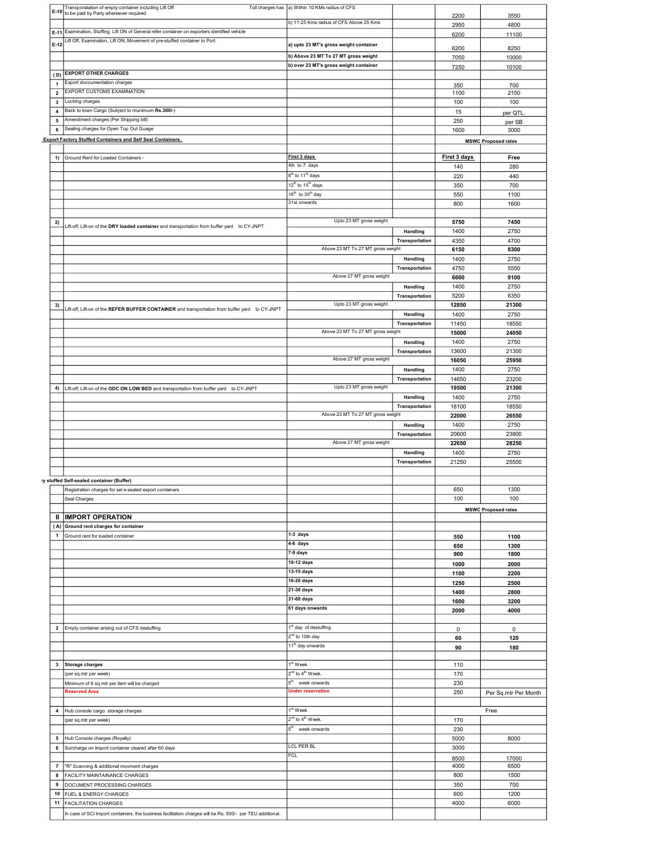|                         | Transporatation of empty container including Lift Off<br>E-10 to be paid by Party whereever required      | Toll charges has  a) Within 10 KMs radius of CFS         |                            | 2200          | 3550                       |
|-------------------------|-----------------------------------------------------------------------------------------------------------|----------------------------------------------------------|----------------------------|---------------|----------------------------|
|                         |                                                                                                           | b) 11-25 Kms radius of CFS Above 25 Kms                  |                            | 2950          | 4800                       |
|                         | E-11 Examination, Stuffing, Lift ON of General refer container on exporters identified vehicle            |                                                          |                            | 6200          | 11100                      |
| $E-12$                  | Lift Off, Examination, Lift ON, Movement of pre-stuffed container to Port                                 | a) upto 23 MT's gross weight container                   |                            |               |                            |
|                         |                                                                                                           | b) Above 23 MT To 27 MT gross weight                     |                            | 6200          | 8250                       |
|                         |                                                                                                           | b) over 23 MT's gross weight container                   |                            | 7050<br>7250  | 10000<br>10100             |
|                         | (D) EXPORT OTHER CHARGES                                                                                  |                                                          |                            |               |                            |
| $\mathbf{1}$            | Export doccumentation charges                                                                             |                                                          |                            | 350           | 700                        |
| $\overline{\mathbf{2}}$ | EXPORT CUSTOMS EXAMINATION                                                                                |                                                          |                            | 1100          | 2150                       |
| $\mathbf{3}$            | Locking charges                                                                                           |                                                          |                            | 100           | 100                        |
| $\boldsymbol{4}$        | Back to town Cargo (Subject to munimum Rs.300/-)                                                          |                                                          |                            | 15            | per QTL                    |
| 5                       | Amendment charges (Per Shipping bill)                                                                     |                                                          |                            | 250           | per SB                     |
| 6                       | Sealing charges for Open Top Out Guage                                                                    |                                                          |                            | 1600          | 3000                       |
|                         | <b>Export Factory Stuffed Containers and Self Seal Containers.</b>                                        |                                                          |                            |               | <b>MSWC Proposed rates</b> |
| 1)                      | Ground Rent for Loaded Containers -                                                                       | First 3 days                                             |                            | First 3 days  | Free                       |
|                         |                                                                                                           | 4th to 7 days                                            |                            | 140           | 280                        |
|                         |                                                                                                           | 8 <sup>th</sup> to 11 <sup>th</sup> days                 |                            | 220           | 440                        |
|                         |                                                                                                           | 12 <sup>th</sup> to 15 <sup>th</sup> days                |                            | 350           | 700                        |
|                         |                                                                                                           | 16 <sup>th</sup> to 30 <sup>th</sup> day                 |                            | 550           | 1100                       |
|                         |                                                                                                           | 31st onwards                                             |                            | 800           | 1600                       |
|                         |                                                                                                           |                                                          |                            |               |                            |
| 2)                      | Lift-off, Lift-on of the DRY loaded container and transportation from buffer yard to CY-JNPT              | Upto 23 MT gross weight                                  |                            | 5750          | 7450                       |
|                         |                                                                                                           |                                                          | Handling                   | 1400          | 2750                       |
|                         |                                                                                                           | Above 23 MT To 27 MT gross weight                        | Transportation             | 4350          | 4700                       |
|                         |                                                                                                           |                                                          | <b>Handling</b>            | 6150<br>1400  | 8300<br>2750               |
|                         |                                                                                                           |                                                          | Transportation             | 4750          | 5550                       |
|                         |                                                                                                           | Above 27 MT gross weight                                 |                            | 6600          | 9100                       |
|                         |                                                                                                           |                                                          | Handling                   | 1400          | 2750                       |
|                         |                                                                                                           |                                                          | Transportation             | 5200          | 6350                       |
| 3)                      | Lift-off, Lift-on of the REFER BUFFER CONTAINER and transportation from buffer yard to CY-JNPT            | Upto 23 MT gross weight                                  |                            | 12850         | 21300                      |
|                         |                                                                                                           |                                                          | Handling                   | 1400          | 2750                       |
|                         |                                                                                                           |                                                          | Transportation             | 11450         | 18550                      |
|                         |                                                                                                           | Above 23 MT To 27 MT gross weight                        |                            | 15000         | 24050                      |
|                         |                                                                                                           |                                                          | Handling<br>Transportation | 1400<br>13600 | 2750<br>21300              |
|                         |                                                                                                           | Above 27 MT gross weight                                 |                            | 16050         | 25950                      |
|                         |                                                                                                           |                                                          | Handling                   | 1400          | 2750                       |
|                         |                                                                                                           |                                                          | Transportation             | 14650         | 23200                      |
|                         | 4) Lift-off, Lift-on of the ODC ON LOW BED and transportation from buffer yard to CY-JNPT                 | Upto 23 MT gross weight                                  |                            | 19500         | 21300                      |
|                         |                                                                                                           |                                                          | Handling                   | 1400          | 2750                       |
|                         |                                                                                                           |                                                          | Transportation             | 18100         | 18550                      |
|                         |                                                                                                           | Above 23 MT To 27 MT gross weight                        |                            | 22000         | 26550                      |
|                         |                                                                                                           |                                                          | Handling<br>Transportation | 1400<br>20600 | 2750<br>23800              |
|                         |                                                                                                           | Above 27 MT gross weight                                 |                            | 22650         | 28250                      |
|                         |                                                                                                           |                                                          | Handling                   | 1400          | 2750                       |
|                         |                                                                                                           |                                                          | Transportation             | 21250         | 25500                      |
|                         |                                                                                                           |                                                          |                            |               |                            |
|                         | ry stuffed Self-sealed container (Buffer)                                                                 |                                                          |                            |               |                            |
|                         | Registration charges for sel e-sealed export containers                                                   |                                                          |                            | 650           | 1300                       |
|                         |                                                                                                           |                                                          |                            |               |                            |
|                         | Seal Charges                                                                                              |                                                          |                            | 100           | 100                        |
|                         |                                                                                                           |                                                          |                            |               | <b>MSWC Proposed rates</b> |
| Ш                       | <b>IMPORT OPERATION</b><br>(A) Ground rent charges for container                                          |                                                          |                            |               |                            |
| $\mathbf{1}$            | Ground rent for loaded container                                                                          | 1-3 days                                                 |                            | 550           | 1100                       |
|                         |                                                                                                           | $4-6$ days                                               |                            | 650           | 1300                       |
|                         |                                                                                                           | 7-9 days                                                 |                            | 900           | 1800                       |
|                         |                                                                                                           | 10-12 days                                               |                            | 1000          | 2000                       |
|                         |                                                                                                           | 13-15 days                                               |                            | 1100          | 2200                       |
|                         |                                                                                                           | 16-20 days                                               |                            | 1250          | 2500                       |
|                         |                                                                                                           | 21-30 days<br>31-60 days                                 |                            | 1400          | 2800                       |
|                         |                                                                                                           | 61 days onwards                                          |                            | 1600<br>2000  | 3200<br>4000               |
|                         |                                                                                                           |                                                          |                            |               |                            |
|                         | 2 Empty container arising out of CFS destuffing                                                           | 1 <sup>st</sup> day of destuffing                        |                            | $\mathbf 0$   | $\mathbf 0$                |
|                         |                                                                                                           | 2 <sup>nd</sup> to 10th day                              |                            | 60            | 120                        |
|                         |                                                                                                           | 11 <sup>th</sup> day onwards                             |                            | 90            | 180                        |
|                         |                                                                                                           |                                                          |                            |               |                            |
|                         | 3 Storage charges                                                                                         | 1 <sup>st</sup> Week                                     |                            | 110           |                            |
|                         | (per sq.mtr per week)                                                                                     | 2 <sup>nd</sup> to 4 <sup>th</sup> Week.                 |                            | 170           |                            |
|                         | Minimum of 6 sq.mtr per item will be charged<br><b>Reserved Area</b>                                      | 5 <sup>th</sup> week onwards<br><b>Under reservation</b> |                            | 230           |                            |
|                         |                                                                                                           |                                                          |                            | 250           | Per Sq.mtr Per Month       |
|                         | 4 Hub console cargo storage charges                                                                       | $1st$ Week                                               |                            |               | Free                       |
|                         | (per sq.mtr per week)                                                                                     | 2 <sup>nd</sup> to 4 <sup>th</sup> Week.                 |                            | 170           |                            |
|                         |                                                                                                           | 5 <sup>th</sup> week onwards                             |                            | 230           |                            |
| 5                       | Hub Console charges (Royalty)                                                                             |                                                          |                            | 5000          | 8000                       |
|                         | 6 Surcharge on Import container cleared after 60 days                                                     | LCL PER BL                                               |                            | 3000          |                            |
|                         |                                                                                                           | <b>FCL</b>                                               |                            | 8500          | 17000                      |
|                         | 7   "R" Scanning & additional movment charges                                                             |                                                          |                            | 4000          | 6500                       |
| 8                       | <b>FACILITY MAINTAINANCE CHARGES</b>                                                                      |                                                          |                            | 800           | 1500                       |
| 9                       | DOCUMENT PROCESSING CHARGES<br>10 FUEL & ENERGY CHARGES                                                   |                                                          |                            | 350<br>600    | 700<br>1200                |
|                         | 11 FACILITATION CHARGES                                                                                   |                                                          |                            | 4000          | 6000                       |
|                         | In case of SCI Import containers, the business facilitation charges will be Rs. 500/- per TEU additional. |                                                          |                            |               |                            |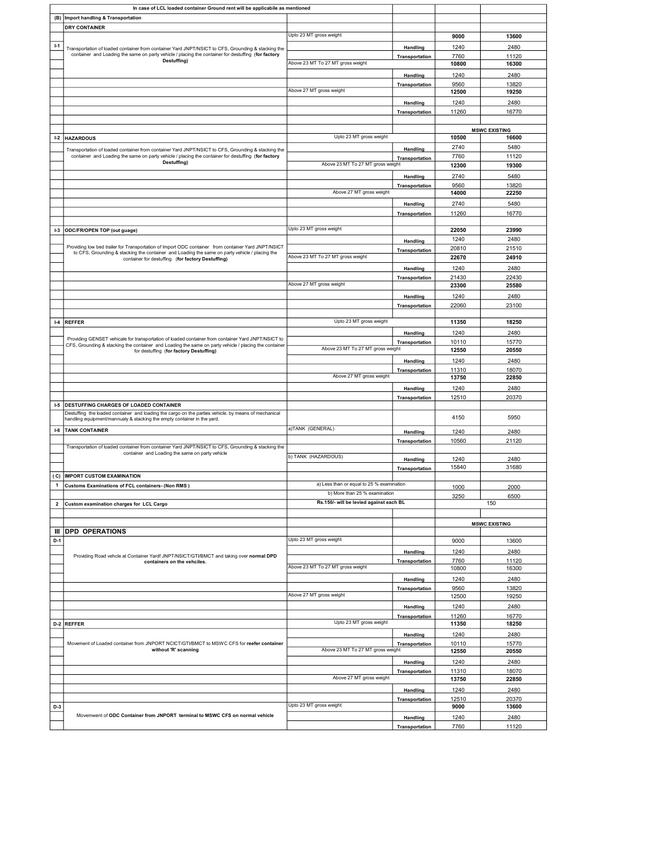|                         | In case of LCL loaded container Ground rent will be applicabile as mentioned                                                                                                                                |                                           |                            |              |                      |
|-------------------------|-------------------------------------------------------------------------------------------------------------------------------------------------------------------------------------------------------------|-------------------------------------------|----------------------------|--------------|----------------------|
|                         |                                                                                                                                                                                                             |                                           |                            |              |                      |
| (B)                     | Import handling & Transportation                                                                                                                                                                            |                                           |                            |              |                      |
|                         | <b>DRY CONTAINER</b>                                                                                                                                                                                        |                                           |                            |              |                      |
|                         |                                                                                                                                                                                                             | Upto 23 MT gross weight                   |                            | 9000         | 13600                |
| H                       |                                                                                                                                                                                                             |                                           |                            | 1240         | 2480                 |
|                         | Transportation of loaded container from container Yard JNPT/NSICT to CFS, Grounding & stacking the<br>container and Loading the same on party vehicle / placing the container for destuffing (for factory   |                                           | Handling                   |              |                      |
|                         | Destuffing)                                                                                                                                                                                                 | Above 23 MT To 27 MT gross weight         | Transportation             | 7760         | 11120                |
|                         |                                                                                                                                                                                                             |                                           |                            | 10800        | 16300                |
|                         |                                                                                                                                                                                                             |                                           | Handling                   | 1240         | 2480                 |
|                         |                                                                                                                                                                                                             |                                           |                            |              |                      |
|                         |                                                                                                                                                                                                             | Above 27 MT gross weight                  | Transportation             | 9560         | 13820                |
|                         |                                                                                                                                                                                                             |                                           |                            | 12500        | 19250                |
|                         |                                                                                                                                                                                                             |                                           | Handling                   | 1240         | 2480                 |
|                         |                                                                                                                                                                                                             |                                           |                            |              | 16770                |
|                         |                                                                                                                                                                                                             |                                           | Transportation             | 11260        |                      |
|                         |                                                                                                                                                                                                             |                                           |                            |              |                      |
|                         |                                                                                                                                                                                                             |                                           |                            |              | <b>MSWC EXISTING</b> |
| L <sub>2</sub>          | <b>HAZARDOUS</b>                                                                                                                                                                                            | Upto 23 MT gross weight                   |                            | 10500        | 16600                |
|                         |                                                                                                                                                                                                             |                                           |                            | 2740         | 5480                 |
|                         | Transportation of loaded container from container Yard JNPT/NSICT to CFS, Grounding & stacking the                                                                                                          |                                           | Handling                   |              |                      |
|                         | container and Loading the same on party vehicle / placing the container for destuffing (for factory                                                                                                         |                                           | Transportation             | 7760         | 11120                |
|                         | Destuffing)                                                                                                                                                                                                 | Above 23 MT To 27 MT gross weight         |                            | 12300        | 19300                |
|                         |                                                                                                                                                                                                             |                                           |                            |              |                      |
|                         |                                                                                                                                                                                                             |                                           | Handling                   | 2740         | 5480                 |
|                         |                                                                                                                                                                                                             |                                           | Transportation             | 9560         | 13820                |
|                         |                                                                                                                                                                                                             | Above 27 MT gross weight                  |                            | 14000        | 22250                |
|                         |                                                                                                                                                                                                             |                                           |                            | 2740         | 5480                 |
|                         |                                                                                                                                                                                                             |                                           | Handling                   |              |                      |
|                         |                                                                                                                                                                                                             |                                           | Transportation             | 11260        | 16770                |
|                         |                                                                                                                                                                                                             |                                           |                            |              |                      |
| $1-3$                   | ODC/FR/OPEN TOP (out guage)                                                                                                                                                                                 | Upto 23 MT gross weight                   |                            | 22050        | 23990                |
|                         |                                                                                                                                                                                                             |                                           |                            | 1240         | 2480                 |
|                         |                                                                                                                                                                                                             |                                           | Handling                   |              |                      |
|                         | Providing low bed trailer for Transportation of Import ODC container from container Yard JNPT/NSICT<br>to CFS, Grounding & stacking the container and Loading the same on party vehicle / placing the       |                                           | Transportation             | 20810        | 21510                |
|                         | container for destuffing (for factory Destuffing)                                                                                                                                                           | Above 23 MT To 27 MT gross weight         |                            | 22670        | 24910                |
|                         |                                                                                                                                                                                                             |                                           |                            |              |                      |
|                         |                                                                                                                                                                                                             |                                           | Handling                   | 1240         | 2480                 |
|                         |                                                                                                                                                                                                             |                                           | Transportation             | 21430        | 22430                |
|                         |                                                                                                                                                                                                             | Above 27 MT gross weight                  |                            | 23300        | 25580                |
|                         |                                                                                                                                                                                                             |                                           |                            |              |                      |
|                         |                                                                                                                                                                                                             |                                           | Handling                   | 1240         | 2480                 |
|                         |                                                                                                                                                                                                             |                                           | Transportation             | 22060        | 23100                |
|                         |                                                                                                                                                                                                             |                                           |                            |              |                      |
| H <sub>4</sub>          | <b>REFFER</b>                                                                                                                                                                                               | Upto 23 MT gross weight                   |                            | 11350        | 18250                |
|                         |                                                                                                                                                                                                             |                                           |                            |              |                      |
|                         |                                                                                                                                                                                                             |                                           | Handling                   | 1240         | 2480                 |
|                         | Providing GENSET vehicale for transportation of loaded container from container Yard JNPT/NSICT to<br>CFS, Grounding & stacking the container and Loading the same on party vehicle / placing the container |                                           | Transportation             | 10110        | 15770                |
|                         | for destuffing (for factory Destuffing)                                                                                                                                                                     | Above 23 MT To 27 MT gross weight         |                            | 12550        | 20550                |
|                         |                                                                                                                                                                                                             |                                           |                            |              |                      |
|                         |                                                                                                                                                                                                             |                                           | Handling                   | 1240         | 2480                 |
|                         |                                                                                                                                                                                                             |                                           | Transportation             | 11310        | 18070                |
|                         |                                                                                                                                                                                                             | Above 27 MT gross weight                  |                            | 13750        | 22850                |
|                         |                                                                                                                                                                                                             |                                           |                            |              |                      |
|                         |                                                                                                                                                                                                             |                                           |                            |              |                      |
|                         |                                                                                                                                                                                                             |                                           | Handling                   | 1240         | 2480                 |
|                         |                                                                                                                                                                                                             |                                           | Transportation             | 12510        | 20370                |
| $1-5$                   | DESTUFFING CHARGES OF LOADED CONTAINER                                                                                                                                                                      |                                           |                            |              |                      |
|                         | Destuffing the loaded container and loading the cargo on the parties vehicle. by means of mechanical                                                                                                        |                                           |                            |              |                      |
|                         | handling equipment/mannualy & stacking the empty container in the yard.                                                                                                                                     |                                           |                            | 4150         | 5950                 |
|                         |                                                                                                                                                                                                             |                                           |                            |              |                      |
| $1-6$                   | <b>TANK CONTAINER</b>                                                                                                                                                                                       | a)TANK (GENERAL)                          | Handling                   | 1240         | 2480                 |
|                         |                                                                                                                                                                                                             |                                           | Transportation             | 10560        | 21120                |
|                         | Transportation of loaded container from container Yard JNPT/NSICT to CFS, Grounding & stacking the                                                                                                          |                                           |                            |              |                      |
|                         | container and Loading the same on party vehicle                                                                                                                                                             | b) TANK (HAZARDOUS)                       |                            |              |                      |
|                         |                                                                                                                                                                                                             |                                           | Handling                   | 1240         | 2480                 |
|                         |                                                                                                                                                                                                             |                                           | Transportation             | 15840        | 31680                |
| (C)                     | <b>IMPORT CUSTOM EXAMINATION</b>                                                                                                                                                                            |                                           |                            |              |                      |
| $\mathbf{1}$            | <b>Customs Examinations of FCL containers- (Non RMS)</b>                                                                                                                                                    | a) Less than or equal to 25 % examination |                            |              |                      |
|                         |                                                                                                                                                                                                             |                                           |                            | 1000         | 2000                 |
|                         |                                                                                                                                                                                                             | b) More than 25 % examination             |                            | 3250         | 6500                 |
| $\overline{\mathbf{2}}$ | Custom examination charges for LCL Cargo                                                                                                                                                                    | Rs.150/- will be levied against each BL   |                            |              | 150                  |
|                         |                                                                                                                                                                                                             |                                           |                            |              |                      |
|                         |                                                                                                                                                                                                             |                                           |                            |              |                      |
|                         |                                                                                                                                                                                                             |                                           |                            |              | <b>MSWC EXISTING</b> |
| Ш                       | <b>DPD OPERATIONS</b>                                                                                                                                                                                       |                                           |                            |              |                      |
| $D-1$                   |                                                                                                                                                                                                             | Upto 23 MT gross weight                   |                            | 9000         | 13600                |
|                         |                                                                                                                                                                                                             |                                           |                            | 1240         | 2480                 |
|                         | Providing Road vehcle at Container Yardf JNPT/NSICT/GTI/BMCT and taking over normal DPD                                                                                                                     |                                           | Handling                   |              |                      |
|                         | containers on the vehciles.                                                                                                                                                                                 |                                           | Transportation             | 7760         | 11120                |
|                         |                                                                                                                                                                                                             | Above 23 MT To 27 MT gross weight         |                            | 10800        | 16300                |
|                         |                                                                                                                                                                                                             |                                           | Handling                   | 1240         | 2480                 |
|                         |                                                                                                                                                                                                             |                                           |                            |              |                      |
|                         |                                                                                                                                                                                                             |                                           | Transportation             | 9560         | 13820                |
|                         |                                                                                                                                                                                                             | Above 27 MT gross weight                  |                            | 12500        | 19250                |
|                         |                                                                                                                                                                                                             |                                           | Handling                   | 1240         | 2480                 |
|                         |                                                                                                                                                                                                             |                                           |                            |              |                      |
|                         |                                                                                                                                                                                                             | Upto 23 MT gross weight                   | Transportation             | 11260        | 16770                |
|                         | D-2 REFFER                                                                                                                                                                                                  |                                           |                            | 11350        | 18250                |
|                         |                                                                                                                                                                                                             |                                           | Handling                   | 1240         | 2480                 |
|                         | Movement of Loaded container from JNPORT NCICT/GTI/BMCT to MSWC CFS for reefer container                                                                                                                    |                                           |                            |              |                      |
|                         | without 'R' scanning                                                                                                                                                                                        | Above 23 MT To 27 MT gross weight         | Transportation             | 10110        | 15770                |
|                         |                                                                                                                                                                                                             |                                           |                            | 12550        | 20550                |
|                         |                                                                                                                                                                                                             |                                           | Handling                   | 1240         | 2480                 |
|                         |                                                                                                                                                                                                             |                                           | Transportation             | 11310        | 18070                |
|                         |                                                                                                                                                                                                             | Above 27 MT gross weight                  |                            | 13750        | 22850                |
|                         |                                                                                                                                                                                                             |                                           |                            |              |                      |
|                         |                                                                                                                                                                                                             |                                           | Handling                   | 1240         | 2480                 |
|                         |                                                                                                                                                                                                             |                                           | Transportation             | 12510        | 20370                |
| $D-3$                   |                                                                                                                                                                                                             | Upto 23 MT gross weight                   |                            | 9000         | 13600                |
|                         |                                                                                                                                                                                                             |                                           |                            |              |                      |
|                         | Movemwent of ODC Container from JNPORT terminal to MSWC CFS on normal vehicle                                                                                                                               |                                           | Handling<br>Transportation | 1240<br>7760 | 2480<br>11120        |